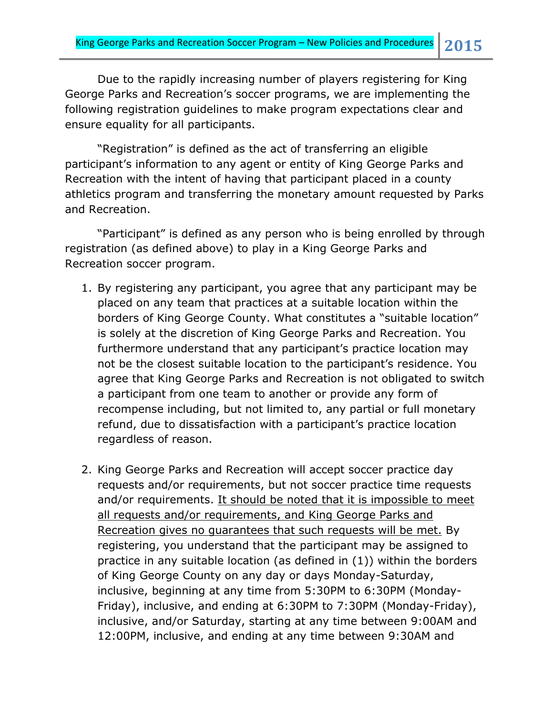Due to the rapidly increasing number of players registering for King George Parks and Recreation's soccer programs, we are implementing the following registration guidelines to make program expectations clear and ensure equality for all participants.

"Registration" is defined as the act of transferring an eligible participant's information to any agent or entity of King George Parks and Recreation with the intent of having that participant placed in a county athletics program and transferring the monetary amount requested by Parks and Recreation.

"Participant" is defined as any person who is being enrolled by through registration (as defined above) to play in a King George Parks and Recreation soccer program.

- 1. By registering any participant, you agree that any participant may be placed on any team that practices at a suitable location within the borders of King George County. What constitutes a "suitable location" is solely at the discretion of King George Parks and Recreation. You furthermore understand that any participant's practice location may not be the closest suitable location to the participant's residence. You agree that King George Parks and Recreation is not obligated to switch a participant from one team to another or provide any form of recompense including, but not limited to, any partial or full monetary refund, due to dissatisfaction with a participant's practice location regardless of reason.
- 2. King George Parks and Recreation will accept soccer practice day requests and/or requirements, but not soccer practice time requests and/or requirements. It should be noted that it is impossible to meet all requests and/or requirements, and King George Parks and Recreation gives no guarantees that such requests will be met. By registering, you understand that the participant may be assigned to practice in any suitable location (as defined in (1)) within the borders of King George County on any day or days Monday-Saturday, inclusive, beginning at any time from 5:30PM to 6:30PM (Monday-Friday), inclusive, and ending at 6:30PM to 7:30PM (Monday-Friday), inclusive, and/or Saturday, starting at any time between 9:00AM and 12:00PM, inclusive, and ending at any time between 9:30AM and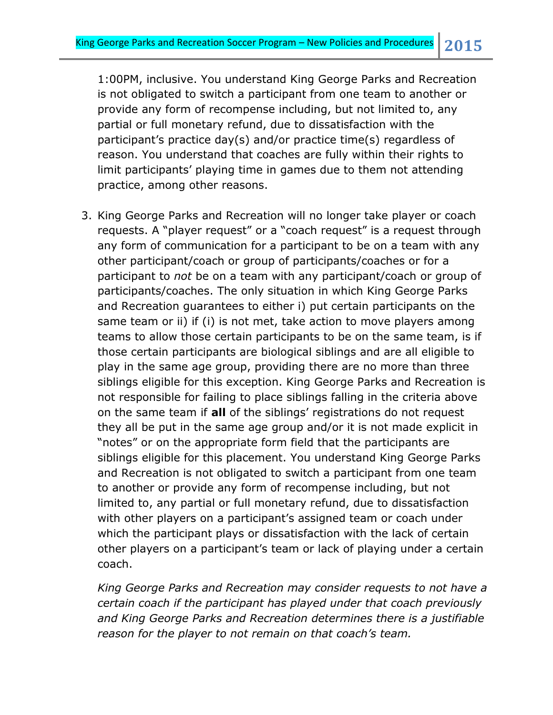1:00PM, inclusive. You understand King George Parks and Recreation is not obligated to switch a participant from one team to another or provide any form of recompense including, but not limited to, any partial or full monetary refund, due to dissatisfaction with the participant's practice day(s) and/or practice time(s) regardless of reason. You understand that coaches are fully within their rights to limit participants' playing time in games due to them not attending practice, among other reasons.

3. King George Parks and Recreation will no longer take player or coach requests. A "player request" or a "coach request" is a request through any form of communication for a participant to be on a team with any other participant/coach or group of participants/coaches or for a participant to *not* be on a team with any participant/coach or group of participants/coaches. The only situation in which King George Parks and Recreation guarantees to either i) put certain participants on the same team or ii) if (i) is not met, take action to move players among teams to allow those certain participants to be on the same team, is if those certain participants are biological siblings and are all eligible to play in the same age group, providing there are no more than three siblings eligible for this exception. King George Parks and Recreation is not responsible for failing to place siblings falling in the criteria above on the same team if **all** of the siblings' registrations do not request they all be put in the same age group and/or it is not made explicit in "notes" or on the appropriate form field that the participants are siblings eligible for this placement. You understand King George Parks and Recreation is not obligated to switch a participant from one team to another or provide any form of recompense including, but not limited to, any partial or full monetary refund, due to dissatisfaction with other players on a participant's assigned team or coach under which the participant plays or dissatisfaction with the lack of certain other players on a participant's team or lack of playing under a certain coach.

*King George Parks and Recreation may consider requests to not have a certain coach if the participant has played under that coach previously and King George Parks and Recreation determines there is a justifiable reason for the player to not remain on that coach's team.*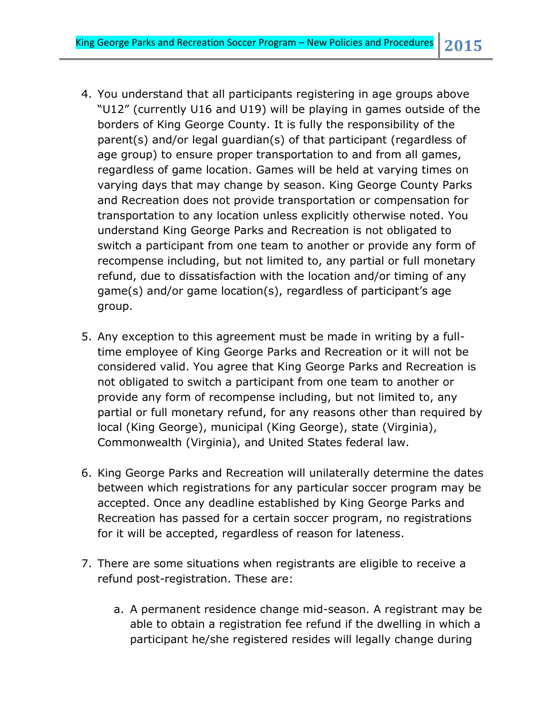- 4. You understand that all participants registering in age groups above "U12" (currently U16 and U19) will be playing in games outside of the borders of King George County. It is fully the responsibility of the parent(s) and/or legal guardian(s) of that participant (regardless of age group) to ensure proper transportation to and from all games, regardless of game location. Games will be held at varying times on varying days that may change by season. King George County Parks and Recreation does not provide transportation or compensation for transportation to any location unless explicitly otherwise noted. You understand King George Parks and Recreation is not obligated to switch a participant from one team to another or provide any form of recompense including, but not limited to, any partial or full monetary refund, due to dissatisfaction with the location and/or timing of any game(s) and/or game location(s), regardless of participant's age group.
- 5. Any exception to this agreement must be made in writing by a fulltime employee of King George Parks and Recreation or it will not be considered valid. You agree that King George Parks and Recreation is not obligated to switch a participant from one team to another or provide any form of recompense including, but not limited to, any partial or full monetary refund, for any reasons other than required by local (King George), municipal (King George), state (Virginia), Commonwealth (Virginia), and United States federal law.
- 6. King George Parks and Recreation will unilaterally determine the dates between which registrations for any particular soccer program may be accepted. Once any deadline established by King George Parks and Recreation has passed for a certain soccer program, no registrations for it will be accepted, regardless of reason for lateness.
- 7. There are some situations when registrants are eligible to receive a refund post-registration. These are:
	- a. A permanent residence change mid-season. A registrant may be able to obtain a registration fee refund if the dwelling in which a participant he/she registered resides will legally change during